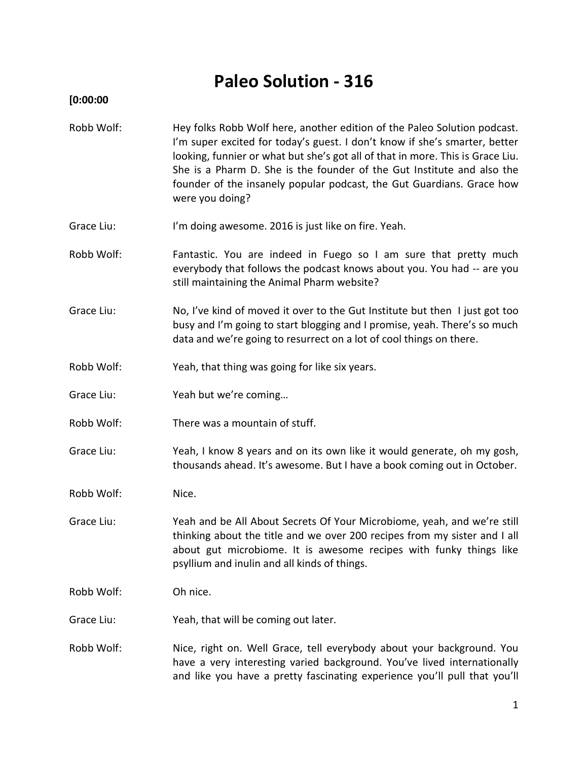# **Paleo Solution - 316**

# **[0:00:00**

- Robb Wolf: Hey folks Robb Wolf here, another edition of the Paleo Solution podcast. I'm super excited for today's guest. I don't know if she's smarter, better looking, funnier or what but she's got all of that in more. This is Grace Liu. She is a Pharm D. She is the founder of the Gut Institute and also the founder of the insanely popular podcast, the Gut Guardians. Grace how were you doing?
- Grace Liu: I'm doing awesome. 2016 is just like on fire. Yeah.
- Robb Wolf: Fantastic. You are indeed in Fuego so I am sure that pretty much everybody that follows the podcast knows about you. You had -- are you still maintaining the Animal Pharm website?
- Grace Liu: No, I've kind of moved it over to the Gut Institute but then I just got too busy and I'm going to start blogging and I promise, yeah. There's so much data and we're going to resurrect on a lot of cool things on there.
- Robb Wolf: Yeah, that thing was going for like six years.
- Grace Liu: Yeah but we're coming…
- Robb Wolf: There was a mountain of stuff.
- Grace Liu: Yeah, I know 8 years and on its own like it would generate, oh my gosh, thousands ahead. It's awesome. But I have a book coming out in October.
- Robb Wolf: Nice.
- Grace Liu: Yeah and be All About Secrets Of Your Microbiome, yeah, and we're still thinking about the title and we over 200 recipes from my sister and I all about gut microbiome. It is awesome recipes with funky things like psyllium and inulin and all kinds of things.
- Robb Wolf: Oh nice.
- Grace Liu: Yeah, that will be coming out later.
- Robb Wolf: Nice, right on. Well Grace, tell everybody about your background. You have a very interesting varied background. You've lived internationally and like you have a pretty fascinating experience you'll pull that you'll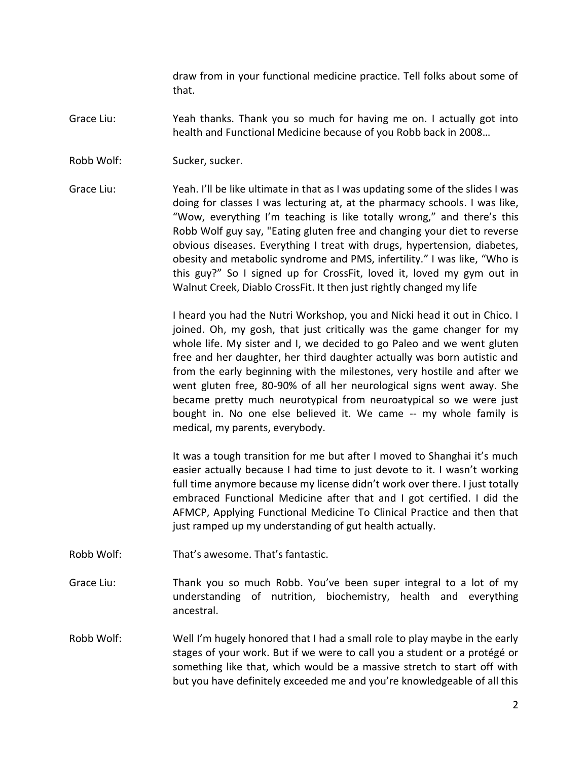draw from in your functional medicine practice. Tell folks about some of that.

- Grace Liu: Yeah thanks. Thank you so much for having me on. I actually got into health and Functional Medicine because of you Robb back in 2008…
- Robb Wolf: Sucker, sucker.
- Grace Liu: Yeah. I'll be like ultimate in that as I was updating some of the slides I was doing for classes I was lecturing at, at the pharmacy schools. I was like, "Wow, everything I'm teaching is like totally wrong," and there's this Robb Wolf guy say, "Eating gluten free and changing your diet to reverse obvious diseases. Everything I treat with drugs, hypertension, diabetes, obesity and metabolic syndrome and PMS, infertility." I was like, "Who is this guy?" So I signed up for CrossFit, loved it, loved my gym out in Walnut Creek, Diablo CrossFit. It then just rightly changed my life

I heard you had the Nutri Workshop, you and Nicki head it out in Chico. I joined. Oh, my gosh, that just critically was the game changer for my whole life. My sister and I, we decided to go Paleo and we went gluten free and her daughter, her third daughter actually was born autistic and from the early beginning with the milestones, very hostile and after we went gluten free, 80-90% of all her neurological signs went away. She became pretty much neurotypical from neuroatypical so we were just bought in. No one else believed it. We came -- my whole family is medical, my parents, everybody.

It was a tough transition for me but after I moved to Shanghai it's much easier actually because I had time to just devote to it. I wasn't working full time anymore because my license didn't work over there. I just totally embraced Functional Medicine after that and I got certified. I did the AFMCP, Applying Functional Medicine To Clinical Practice and then that just ramped up my understanding of gut health actually.

- Robb Wolf: That's awesome. That's fantastic.
- Grace Liu: Thank you so much Robb. You've been super integral to a lot of my understanding of nutrition, biochemistry, health and everything ancestral.
- Robb Wolf: Well I'm hugely honored that I had a small role to play maybe in the early stages of your work. But if we were to call you a student or a protégé or something like that, which would be a massive stretch to start off with but you have definitely exceeded me and you're knowledgeable of all this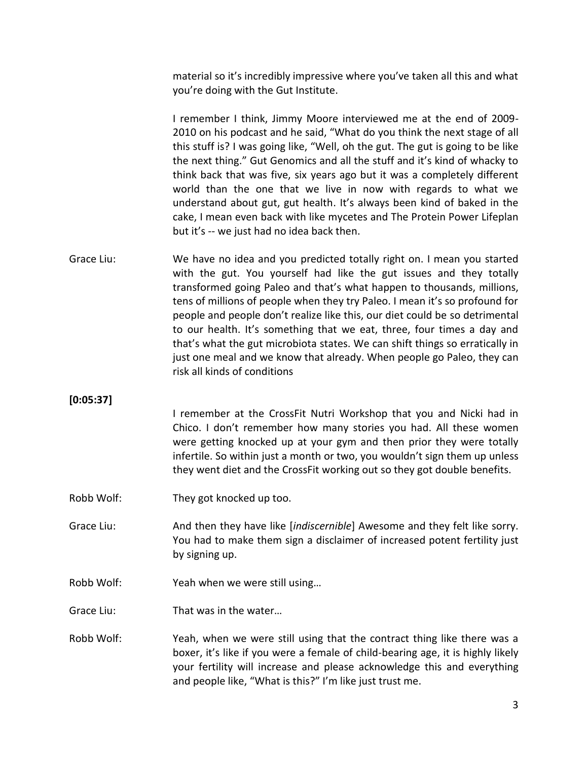material so it's incredibly impressive where you've taken all this and what you're doing with the Gut Institute.

I remember I think, Jimmy Moore interviewed me at the end of 2009- 2010 on his podcast and he said, "What do you think the next stage of all this stuff is? I was going like, "Well, oh the gut. The gut is going to be like the next thing." Gut Genomics and all the stuff and it's kind of whacky to think back that was five, six years ago but it was a completely different world than the one that we live in now with regards to what we understand about gut, gut health. It's always been kind of baked in the cake, I mean even back with like mycetes and The Protein Power Lifeplan but it's -- we just had no idea back then.

Grace Liu: We have no idea and you predicted totally right on. I mean you started with the gut. You yourself had like the gut issues and they totally transformed going Paleo and that's what happen to thousands, millions, tens of millions of people when they try Paleo. I mean it's so profound for people and people don't realize like this, our diet could be so detrimental to our health. It's something that we eat, three, four times a day and that's what the gut microbiota states. We can shift things so erratically in just one meal and we know that already. When people go Paleo, they can risk all kinds of conditions

### **[0:05:37]**

I remember at the CrossFit Nutri Workshop that you and Nicki had in Chico. I don't remember how many stories you had. All these women were getting knocked up at your gym and then prior they were totally infertile. So within just a month or two, you wouldn't sign them up unless they went diet and the CrossFit working out so they got double benefits.

- Robb Wolf: They got knocked up too.
- Grace Liu: And then they have like [*indiscernible*] Awesome and they felt like sorry. You had to make them sign a disclaimer of increased potent fertility just by signing up.
- Robb Wolf: Yeah when we were still using…
- Grace Liu: That was in the water…
- Robb Wolf: Yeah, when we were still using that the contract thing like there was a boxer, it's like if you were a female of child-bearing age, it is highly likely your fertility will increase and please acknowledge this and everything and people like, "What is this?" I'm like just trust me.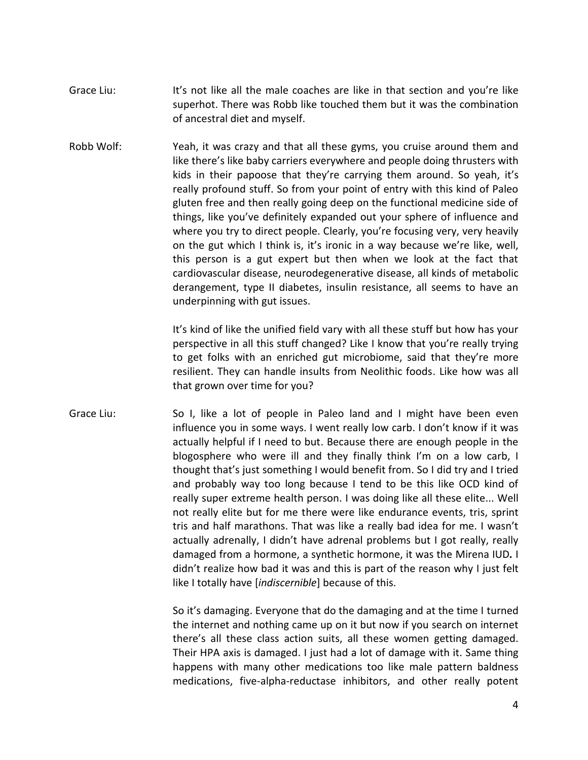- Grace Liu: It's not like all the male coaches are like in that section and you're like superhot. There was Robb like touched them but it was the combination of ancestral diet and myself.
- Robb Wolf: Yeah, it was crazy and that all these gyms, you cruise around them and like there's like baby carriers everywhere and people doing thrusters with kids in their papoose that they're carrying them around. So yeah, it's really profound stuff. So from your point of entry with this kind of Paleo gluten free and then really going deep on the functional medicine side of things, like you've definitely expanded out your sphere of influence and where you try to direct people. Clearly, you're focusing very, very heavily on the gut which I think is, it's ironic in a way because we're like, well, this person is a gut expert but then when we look at the fact that cardiovascular disease, neurodegenerative disease, all kinds of metabolic derangement, type II diabetes, insulin resistance, all seems to have an underpinning with gut issues.

It's kind of like the unified field vary with all these stuff but how has your perspective in all this stuff changed? Like I know that you're really trying to get folks with an enriched gut microbiome, said that they're more resilient. They can handle insults from Neolithic foods. Like how was all that grown over time for you?

Grace Liu: So I, like a lot of people in Paleo land and I might have been even influence you in some ways. I went really low carb. I don't know if it was actually helpful if I need to but. Because there are enough people in the blogosphere who were ill and they finally think I'm on a low carb, I thought that's just something I would benefit from. So I did try and I tried and probably way too long because I tend to be this like OCD kind of really super extreme health person. I was doing like all these elite... Well not really elite but for me there were like endurance events, tris, sprint tris and half marathons. That was like a really bad idea for me. I wasn't actually adrenally, I didn't have adrenal problems but I got really, really damaged from a hormone, a synthetic hormone, it was the Mirena IUD*.* I didn't realize how bad it was and this is part of the reason why I just felt like I totally have [*indiscernible*] because of this.

> So it's damaging. Everyone that do the damaging and at the time I turned the internet and nothing came up on it but now if you search on internet there's all these class action suits, all these women getting damaged. Their HPA axis is damaged. I just had a lot of damage with it. Same thing happens with many other medications too like male pattern baldness medications, five-alpha-reductase inhibitors, and other really potent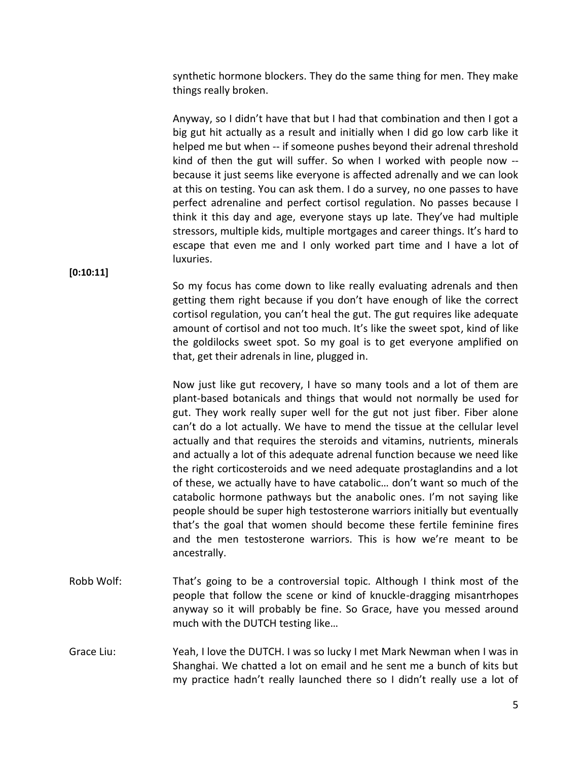synthetic hormone blockers. They do the same thing for men. They make things really broken.

Anyway, so I didn't have that but I had that combination and then I got a big gut hit actually as a result and initially when I did go low carb like it helped me but when -- if someone pushes beyond their adrenal threshold kind of then the gut will suffer. So when I worked with people now - because it just seems like everyone is affected adrenally and we can look at this on testing. You can ask them. I do a survey, no one passes to have perfect adrenaline and perfect cortisol regulation. No passes because I think it this day and age, everyone stays up late. They've had multiple stressors, multiple kids, multiple mortgages and career things. It's hard to escape that even me and I only worked part time and I have a lot of luxuries.

**[0:10:11]**

So my focus has come down to like really evaluating adrenals and then getting them right because if you don't have enough of like the correct cortisol regulation, you can't heal the gut. The gut requires like adequate amount of cortisol and not too much. It's like the sweet spot, kind of like the goldilocks sweet spot. So my goal is to get everyone amplified on that, get their adrenals in line, plugged in.

Now just like gut recovery, I have so many tools and a lot of them are plant-based botanicals and things that would not normally be used for gut. They work really super well for the gut not just fiber. Fiber alone can't do a lot actually. We have to mend the tissue at the cellular level actually and that requires the steroids and vitamins, nutrients, minerals and actually a lot of this adequate adrenal function because we need like the right corticosteroids and we need adequate prostaglandins and a lot of these, we actually have to have catabolic… don't want so much of the catabolic hormone pathways but the anabolic ones. I'm not saying like people should be super high testosterone warriors initially but eventually that's the goal that women should become these fertile feminine fires and the men testosterone warriors. This is how we're meant to be ancestrally.

- Robb Wolf: That's going to be a controversial topic. Although I think most of the people that follow the scene or kind of knuckle-dragging misantrhopes anyway so it will probably be fine. So Grace, have you messed around much with the DUTCH testing like…
- Grace Liu: Yeah, I love the DUTCH. I was so lucky I met Mark Newman when I was in Shanghai. We chatted a lot on email and he sent me a bunch of kits but my practice hadn't really launched there so I didn't really use a lot of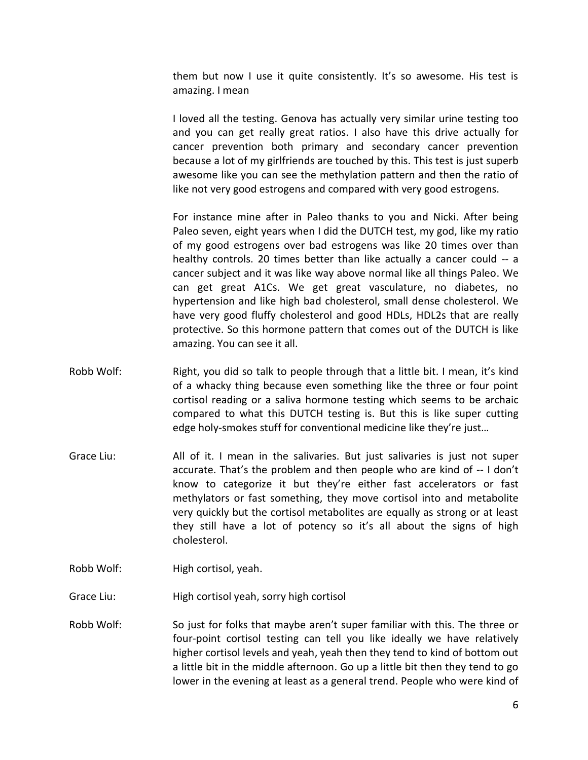them but now I use it quite consistently. It's so awesome. His test is amazing. I mean

I loved all the testing. Genova has actually very similar urine testing too and you can get really great ratios. I also have this drive actually for cancer prevention both primary and secondary cancer prevention because a lot of my girlfriends are touched by this. This test is just superb awesome like you can see the methylation pattern and then the ratio of like not very good estrogens and compared with very good estrogens.

For instance mine after in Paleo thanks to you and Nicki. After being Paleo seven, eight years when I did the DUTCH test, my god, like my ratio of my good estrogens over bad estrogens was like 20 times over than healthy controls. 20 times better than like actually a cancer could -- a cancer subject and it was like way above normal like all things Paleo. We can get great A1Cs. We get great vasculature, no diabetes, no hypertension and like high bad cholesterol, small dense cholesterol. We have very good fluffy cholesterol and good HDLs, HDL2s that are really protective. So this hormone pattern that comes out of the DUTCH is like amazing. You can see it all.

- Robb Wolf: Right, you did so talk to people through that a little bit. I mean, it's kind of a whacky thing because even something like the three or four point cortisol reading or a saliva hormone testing which seems to be archaic compared to what this DUTCH testing is. But this is like super cutting edge holy-smokes stuff for conventional medicine like they're just…
- Grace Liu: All of it. I mean in the salivaries. But just salivaries is just not super accurate. That's the problem and then people who are kind of -- I don't know to categorize it but they're either fast accelerators or fast methylators or fast something, they move cortisol into and metabolite very quickly but the cortisol metabolites are equally as strong or at least they still have a lot of potency so it's all about the signs of high cholesterol.
- Robb Wolf: High cortisol, yeah.
- Grace Liu: High cortisol yeah, sorry high cortisol
- Robb Wolf: So just for folks that maybe aren't super familiar with this. The three or four-point cortisol testing can tell you like ideally we have relatively higher cortisol levels and yeah, yeah then they tend to kind of bottom out a little bit in the middle afternoon. Go up a little bit then they tend to go lower in the evening at least as a general trend. People who were kind of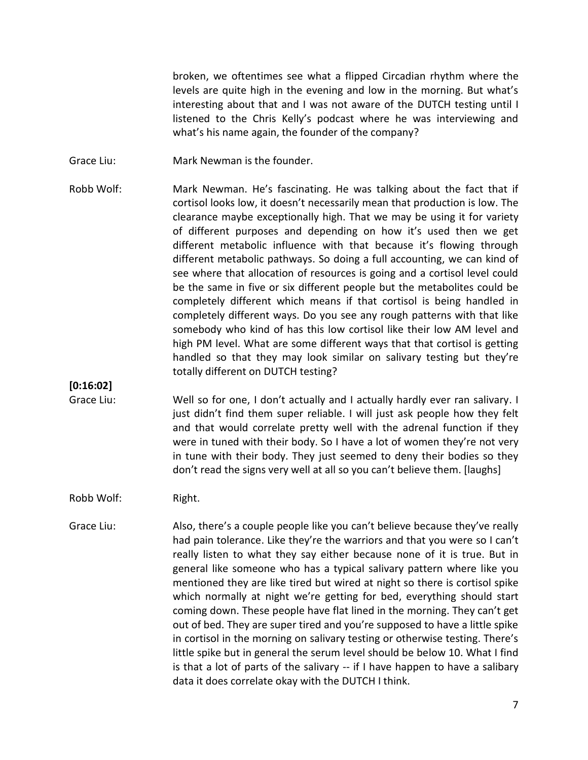broken, we oftentimes see what a flipped Circadian rhythm where the levels are quite high in the evening and low in the morning. But what's interesting about that and I was not aware of the DUTCH testing until I listened to the Chris Kelly's podcast where he was interviewing and what's his name again, the founder of the company?

- Grace Liu: Mark Newman is the founder.
- Robb Wolf: Mark Newman. He's fascinating. He was talking about the fact that if cortisol looks low, it doesn't necessarily mean that production is low. The clearance maybe exceptionally high. That we may be using it for variety of different purposes and depending on how it's used then we get different metabolic influence with that because it's flowing through different metabolic pathways. So doing a full accounting, we can kind of see where that allocation of resources is going and a cortisol level could be the same in five or six different people but the metabolites could be completely different which means if that cortisol is being handled in completely different ways. Do you see any rough patterns with that like somebody who kind of has this low cortisol like their low AM level and high PM level. What are some different ways that that cortisol is getting handled so that they may look similar on salivary testing but they're totally different on DUTCH testing?

### **[0:16:02]**

Grace Liu: Well so for one, I don't actually and I actually hardly ever ran salivary. I just didn't find them super reliable. I will just ask people how they felt and that would correlate pretty well with the adrenal function if they were in tuned with their body. So I have a lot of women they're not very in tune with their body. They just seemed to deny their bodies so they don't read the signs very well at all so you can't believe them. [laughs]

#### Robb Wolf: Right.

Grace Liu: Also, there's a couple people like you can't believe because they've really had pain tolerance. Like they're the warriors and that you were so I can't really listen to what they say either because none of it is true. But in general like someone who has a typical salivary pattern where like you mentioned they are like tired but wired at night so there is cortisol spike which normally at night we're getting for bed, everything should start coming down. These people have flat lined in the morning. They can't get out of bed. They are super tired and you're supposed to have a little spike in cortisol in the morning on salivary testing or otherwise testing. There's little spike but in general the serum level should be below 10. What I find is that a lot of parts of the salivary -- if I have happen to have a salibary data it does correlate okay with the DUTCH I think.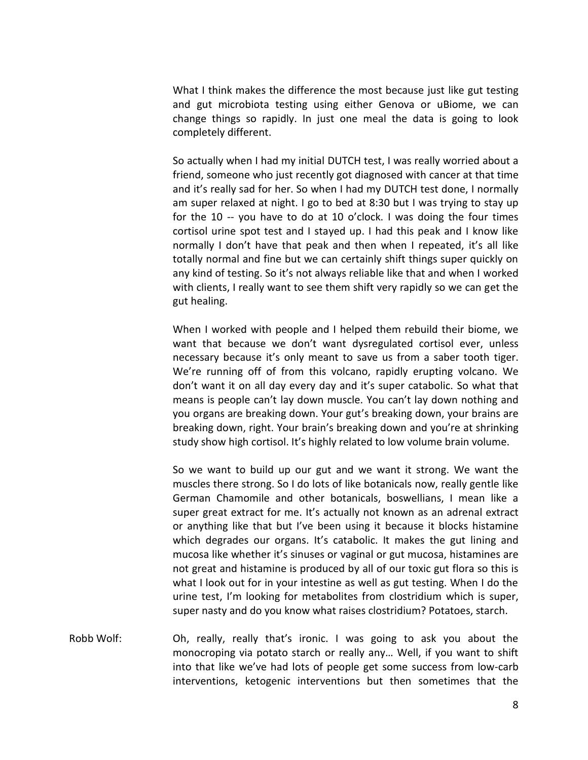What I think makes the difference the most because just like gut testing and gut microbiota testing using either Genova or uBiome, we can change things so rapidly. In just one meal the data is going to look completely different.

So actually when I had my initial DUTCH test, I was really worried about a friend, someone who just recently got diagnosed with cancer at that time and it's really sad for her. So when I had my DUTCH test done, I normally am super relaxed at night. I go to bed at 8:30 but I was trying to stay up for the 10 -- you have to do at 10 o'clock. I was doing the four times cortisol urine spot test and I stayed up. I had this peak and I know like normally I don't have that peak and then when I repeated, it's all like totally normal and fine but we can certainly shift things super quickly on any kind of testing. So it's not always reliable like that and when I worked with clients, I really want to see them shift very rapidly so we can get the gut healing.

When I worked with people and I helped them rebuild their biome, we want that because we don't want dysregulated cortisol ever, unless necessary because it's only meant to save us from a saber tooth tiger. We're running off of from this volcano, rapidly erupting volcano. We don't want it on all day every day and it's super catabolic. So what that means is people can't lay down muscle. You can't lay down nothing and you organs are breaking down. Your gut's breaking down, your brains are breaking down, right. Your brain's breaking down and you're at shrinking study show high cortisol. It's highly related to low volume brain volume.

So we want to build up our gut and we want it strong. We want the muscles there strong. So I do lots of like botanicals now, really gentle like German Chamomile and other botanicals, boswellians, I mean like a super great extract for me. It's actually not known as an adrenal extract or anything like that but I've been using it because it blocks histamine which degrades our organs. It's catabolic. It makes the gut lining and mucosa like whether it's sinuses or vaginal or gut mucosa, histamines are not great and histamine is produced by all of our toxic gut flora so this is what I look out for in your intestine as well as gut testing. When I do the urine test, I'm looking for metabolites from clostridium which is super, super nasty and do you know what raises clostridium? Potatoes, starch.

Robb Wolf: Oh, really, really that's ironic. I was going to ask you about the monocroping via potato starch or really any… Well, if you want to shift into that like we've had lots of people get some success from low-carb interventions, ketogenic interventions but then sometimes that the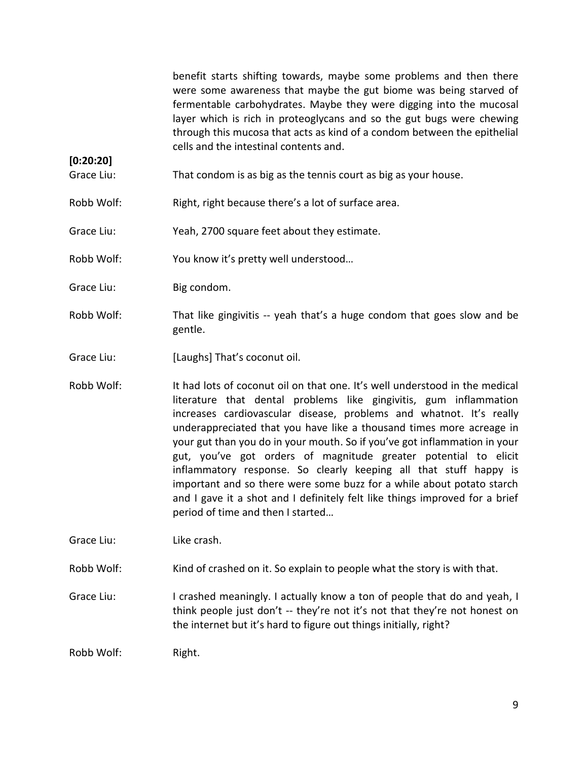benefit starts shifting towards, maybe some problems and then there were some awareness that maybe the gut biome was being starved of fermentable carbohydrates. Maybe they were digging into the mucosal layer which is rich in proteoglycans and so the gut bugs were chewing through this mucosa that acts as kind of a condom between the epithelial cells and the intestinal contents and.

- Grace Liu: That condom is as big as the tennis court as big as your house.
- Robb Wolf: Right, right because there's a lot of surface area.
- Grace Liu: Yeah, 2700 square feet about they estimate.
- Robb Wolf: You know it's pretty well understood…
- Grace Liu: Big condom.

**[0:20:20]**

- Robb Wolf: That like gingivitis -- yeah that's a huge condom that goes slow and be gentle.
- Grace Liu: [Laughs] That's coconut oil.
- Robb Wolf: It had lots of coconut oil on that one. It's well understood in the medical literature that dental problems like gingivitis, gum inflammation increases cardiovascular disease, problems and whatnot. It's really underappreciated that you have like a thousand times more acreage in your gut than you do in your mouth. So if you've got inflammation in your gut, you've got orders of magnitude greater potential to elicit inflammatory response. So clearly keeping all that stuff happy is important and so there were some buzz for a while about potato starch and I gave it a shot and I definitely felt like things improved for a brief period of time and then I started…

Grace Liu: Like crash.

- Robb Wolf: Kind of crashed on it. So explain to people what the story is with that.
- Grace Liu: I crashed meaningly. I actually know a ton of people that do and yeah, I think people just don't -- they're not it's not that they're not honest on the internet but it's hard to figure out things initially, right?

Robb Wolf: Right.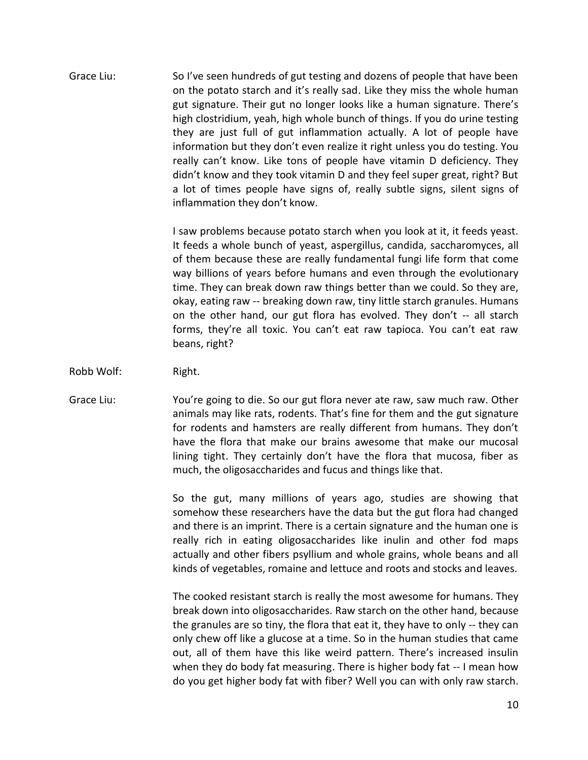Grace Liu: So I've seen hundreds of gut testing and dozens of people that have been on the potato starch and it's really sad. Like they miss the whole human gut signature. Their gut no longer looks like a human signature. There's high clostridium, yeah, high whole bunch of things. If you do urine testing they are just full of gut inflammation actually. A lot of people have information but they don't even realize it right unless you do testing. You really can't know. Like tons of people have vitamin D deficiency. They didn't know and they took vitamin D and they feel super great, right? But a lot of times people have signs of, really subtle signs, silent signs of inflammation they don't know.

> I saw problems because potato starch when you look at it, it feeds yeast. It feeds a whole bunch of yeast, aspergillus, candida, saccharomyces, all of them because these are really fundamental fungi life form that come way billions of years before humans and even through the evolutionary time. They can break down raw things better than we could. So they are, okay, eating raw -- breaking down raw, tiny little starch granules. Humans on the other hand, our gut flora has evolved. They don't -- all starch forms, they're all toxic. You can't eat raw tapioca. You can't eat raw beans, right?

- Robb Wolf: Right.
- Grace Liu: You're going to die. So our gut flora never ate raw, saw much raw. Other animals may like rats, rodents. That's fine for them and the gut signature for rodents and hamsters are really different from humans. They don't have the flora that make our brains awesome that make our mucosal lining tight. They certainly don't have the flora that mucosa, fiber as much, the oligosaccharides and fucus and things like that.

So the gut, many millions of years ago, studies are showing that somehow these researchers have the data but the gut flora had changed and there is an imprint. There is a certain signature and the human one is really rich in eating oligosaccharides like inulin and other fod maps actually and other fibers psyllium and whole grains, whole beans and all kinds of vegetables, romaine and lettuce and roots and stocks and leaves.

The cooked resistant starch is really the most awesome for humans. They break down into oligosaccharides. Raw starch on the other hand, because the granules are so tiny, the flora that eat it, they have to only -- they can only chew off like a glucose at a time. So in the human studies that came out, all of them have this like weird pattern. There's increased insulin when they do body fat measuring. There is higher body fat -- I mean how do you get higher body fat with fiber? Well you can with only raw starch.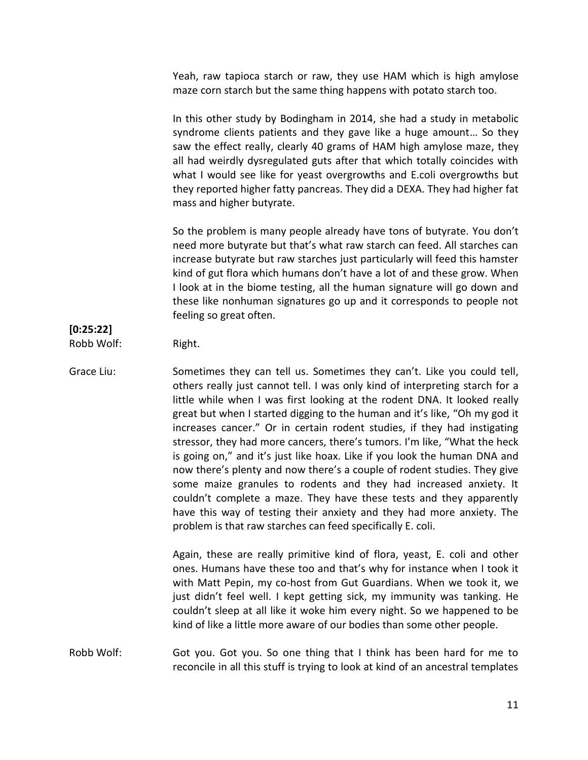Yeah, raw tapioca starch or raw, they use HAM which is high amylose maze corn starch but the same thing happens with potato starch too.

In this other study by Bodingham in 2014, she had a study in metabolic syndrome clients patients and they gave like a huge amount... So they saw the effect really, clearly 40 grams of HAM high amylose maze, they all had weirdly dysregulated guts after that which totally coincides with what I would see like for yeast overgrowths and E.coli overgrowths but they reported higher fatty pancreas. They did a DEXA. They had higher fat mass and higher butyrate.

So the problem is many people already have tons of butyrate. You don't need more butyrate but that's what raw starch can feed. All starches can increase butyrate but raw starches just particularly will feed this hamster kind of gut flora which humans don't have a lot of and these grow. When I look at in the biome testing, all the human signature will go down and these like nonhuman signatures go up and it corresponds to people not feeling so great often.

# **[0:25:22]**

Robb Wolf: Right.

Grace Liu: Sometimes they can tell us. Sometimes they can't. Like you could tell, others really just cannot tell. I was only kind of interpreting starch for a little while when I was first looking at the rodent DNA. It looked really great but when I started digging to the human and it's like, "Oh my god it increases cancer." Or in certain rodent studies, if they had instigating stressor, they had more cancers, there's tumors. I'm like, "What the heck is going on," and it's just like hoax. Like if you look the human DNA and now there's plenty and now there's a couple of rodent studies. They give some maize granules to rodents and they had increased anxiety. It couldn't complete a maze. They have these tests and they apparently have this way of testing their anxiety and they had more anxiety. The problem is that raw starches can feed specifically E. coli.

> Again, these are really primitive kind of flora, yeast, E. coli and other ones. Humans have these too and that's why for instance when I took it with Matt Pepin, my co-host from Gut Guardians. When we took it, we just didn't feel well. I kept getting sick, my immunity was tanking. He couldn't sleep at all like it woke him every night. So we happened to be kind of like a little more aware of our bodies than some other people.

Robb Wolf: Got you. Got you. So one thing that I think has been hard for me to reconcile in all this stuff is trying to look at kind of an ancestral templates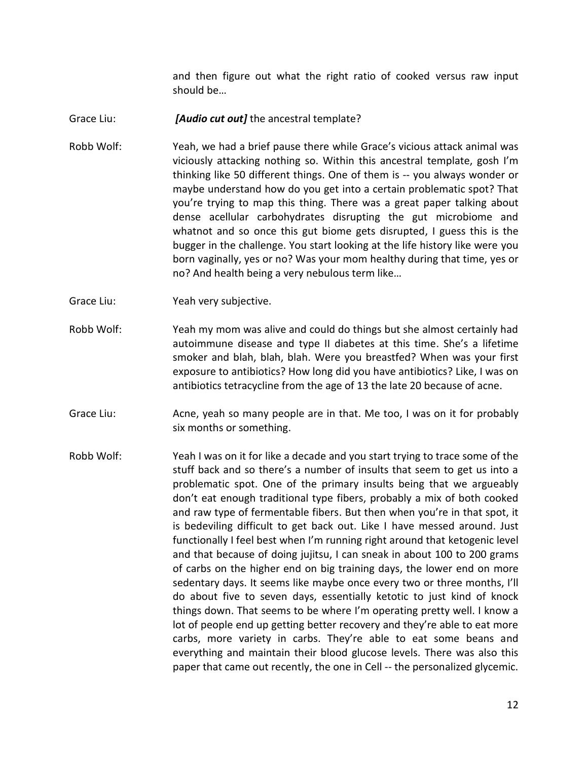and then figure out what the right ratio of cooked versus raw input should be…

- Grace Liu: *[Audio cut out]* the ancestral template?
- Robb Wolf: Yeah, we had a brief pause there while Grace's vicious attack animal was viciously attacking nothing so. Within this ancestral template, gosh I'm thinking like 50 different things. One of them is -- you always wonder or maybe understand how do you get into a certain problematic spot? That you're trying to map this thing. There was a great paper talking about dense acellular carbohydrates disrupting the gut microbiome and whatnot and so once this gut biome gets disrupted, I guess this is the bugger in the challenge. You start looking at the life history like were you born vaginally, yes or no? Was your mom healthy during that time, yes or no? And health being a very nebulous term like…
- Grace Liu: Yeah very subjective.
- Robb Wolf: Yeah my mom was alive and could do things but she almost certainly had autoimmune disease and type II diabetes at this time. She's a lifetime smoker and blah, blah, blah. Were you breastfed? When was your first exposure to antibiotics? How long did you have antibiotics? Like, I was on antibiotics tetracycline from the age of 13 the late 20 because of acne.
- Grace Liu: Acne, yeah so many people are in that. Me too, I was on it for probably six months or something.
- Robb Wolf: Yeah I was on it for like a decade and you start trying to trace some of the stuff back and so there's a number of insults that seem to get us into a problematic spot. One of the primary insults being that we argueably don't eat enough traditional type fibers, probably a mix of both cooked and raw type of fermentable fibers. But then when you're in that spot, it is bedeviling difficult to get back out. Like I have messed around. Just functionally I feel best when I'm running right around that ketogenic level and that because of doing jujitsu, I can sneak in about 100 to 200 grams of carbs on the higher end on big training days, the lower end on more sedentary days. It seems like maybe once every two or three months, I'll do about five to seven days, essentially ketotic to just kind of knock things down. That seems to be where I'm operating pretty well. I know a lot of people end up getting better recovery and they're able to eat more carbs, more variety in carbs. They're able to eat some beans and everything and maintain their blood glucose levels. There was also this paper that came out recently, the one in Cell -- the personalized glycemic.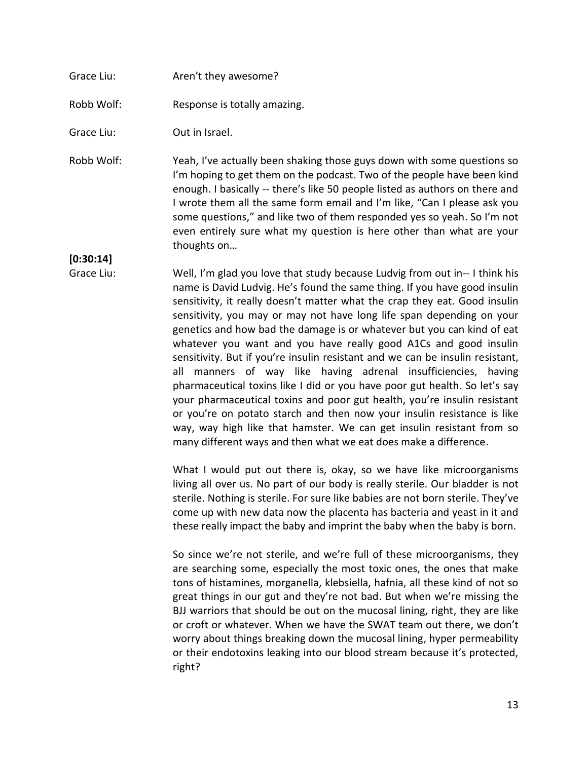# Grace Liu: Aren't they awesome?

Robb Wolf: Response is totally amazing.

Grace Liu: Out in Israel.

Robb Wolf: Yeah, I've actually been shaking those guys down with some questions so I'm hoping to get them on the podcast. Two of the people have been kind enough. I basically -- there's like 50 people listed as authors on there and I wrote them all the same form email and I'm like, "Can I please ask you some questions," and like two of them responded yes so yeah. So I'm not even entirely sure what my question is here other than what are your thoughts on…

**[0:30:14]**

Grace Liu: Well, I'm glad you love that study because Ludvig from out in-- I think his name is David Ludvig. He's found the same thing. If you have good insulin sensitivity, it really doesn't matter what the crap they eat. Good insulin sensitivity, you may or may not have long life span depending on your genetics and how bad the damage is or whatever but you can kind of eat whatever you want and you have really good A1Cs and good insulin sensitivity. But if you're insulin resistant and we can be insulin resistant, all manners of way like having adrenal insufficiencies, having pharmaceutical toxins like I did or you have poor gut health. So let's say your pharmaceutical toxins and poor gut health, you're insulin resistant or you're on potato starch and then now your insulin resistance is like way, way high like that hamster. We can get insulin resistant from so many different ways and then what we eat does make a difference.

> What I would put out there is, okay, so we have like microorganisms living all over us. No part of our body is really sterile. Our bladder is not sterile. Nothing is sterile. For sure like babies are not born sterile. They've come up with new data now the placenta has bacteria and yeast in it and these really impact the baby and imprint the baby when the baby is born.

> So since we're not sterile, and we're full of these microorganisms, they are searching some, especially the most toxic ones, the ones that make tons of histamines, morganella, klebsiella, hafnia, all these kind of not so great things in our gut and they're not bad. But when we're missing the BJJ warriors that should be out on the mucosal lining, right, they are like or croft or whatever. When we have the SWAT team out there, we don't worry about things breaking down the mucosal lining, hyper permeability or their endotoxins leaking into our blood stream because it's protected, right?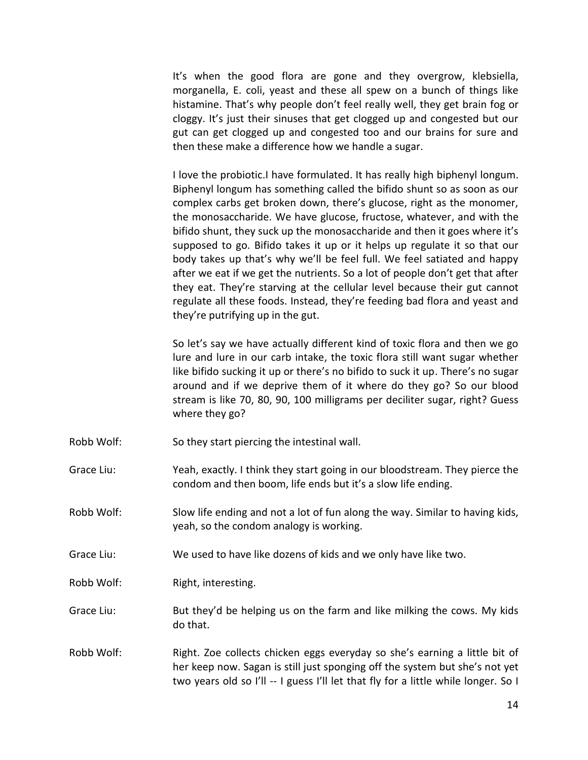It's when the good flora are gone and they overgrow, klebsiella, morganella, E. coli, yeast and these all spew on a bunch of things like histamine. That's why people don't feel really well, they get brain fog or cloggy. It's just their sinuses that get clogged up and congested but our gut can get clogged up and congested too and our brains for sure and then these make a difference how we handle a sugar.

I love the probiotic.I have formulated. It has really high biphenyl longum. Biphenyl longum has something called the bifido shunt so as soon as our complex carbs get broken down, there's glucose, right as the monomer, the monosaccharide. We have glucose, fructose, whatever, and with the bifido shunt, they suck up the monosaccharide and then it goes where it's supposed to go. Bifido takes it up or it helps up regulate it so that our body takes up that's why we'll be feel full. We feel satiated and happy after we eat if we get the nutrients. So a lot of people don't get that after they eat. They're starving at the cellular level because their gut cannot regulate all these foods. Instead, they're feeding bad flora and yeast and they're putrifying up in the gut.

So let's say we have actually different kind of toxic flora and then we go lure and lure in our carb intake, the toxic flora still want sugar whether like bifido sucking it up or there's no bifido to suck it up. There's no sugar around and if we deprive them of it where do they go? So our blood stream is like 70, 80, 90, 100 milligrams per deciliter sugar, right? Guess where they go?

- Robb Wolf: So they start piercing the intestinal wall.
- Grace Liu: Yeah, exactly. I think they start going in our bloodstream. They pierce the condom and then boom, life ends but it's a slow life ending.
- Robb Wolf: Slow life ending and not a lot of fun along the way. Similar to having kids, yeah, so the condom analogy is working.
- Grace Liu: We used to have like dozens of kids and we only have like two.
- Robb Wolf: Right, interesting.
- Grace Liu: But they'd be helping us on the farm and like milking the cows. My kids do that.
- Robb Wolf: Right. Zoe collects chicken eggs everyday so she's earning a little bit of her keep now. Sagan is still just sponging off the system but she's not yet two years old so I'll -- I guess I'll let that fly for a little while longer. So I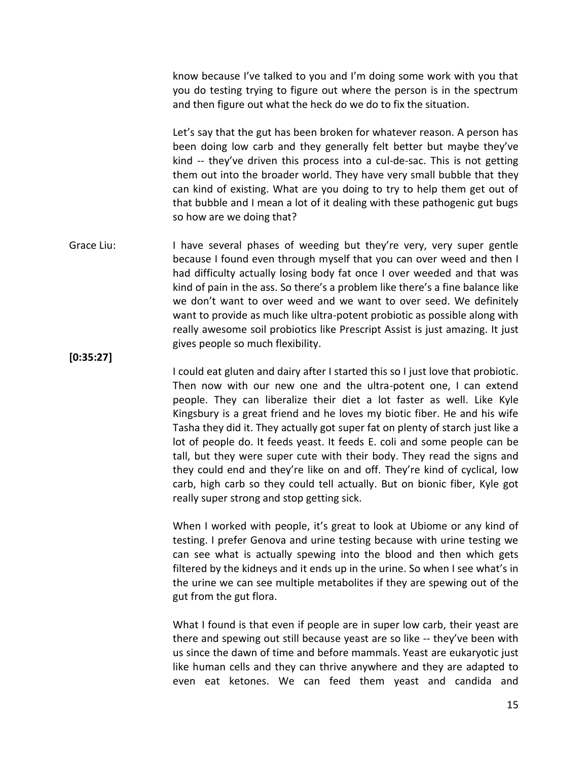know because I've talked to you and I'm doing some work with you that you do testing trying to figure out where the person is in the spectrum and then figure out what the heck do we do to fix the situation.

Let's say that the gut has been broken for whatever reason. A person has been doing low carb and they generally felt better but maybe they've kind -- they've driven this process into a cul-de-sac. This is not getting them out into the broader world. They have very small bubble that they can kind of existing. What are you doing to try to help them get out of that bubble and I mean a lot of it dealing with these pathogenic gut bugs so how are we doing that?

Grace Liu: I have several phases of weeding but they're very, very super gentle because I found even through myself that you can over weed and then I had difficulty actually losing body fat once I over weeded and that was kind of pain in the ass. So there's a problem like there's a fine balance like we don't want to over weed and we want to over seed. We definitely want to provide as much like ultra-potent probiotic as possible along with really awesome soil probiotics like Prescript Assist is just amazing. It just gives people so much flexibility.

**[0:35:27]**

I could eat gluten and dairy after I started this so I just love that probiotic. Then now with our new one and the ultra-potent one, I can extend people. They can liberalize their diet a lot faster as well. Like Kyle Kingsbury is a great friend and he loves my biotic fiber. He and his wife Tasha they did it. They actually got super fat on plenty of starch just like a lot of people do. It feeds yeast. It feeds E. coli and some people can be tall, but they were super cute with their body. They read the signs and they could end and they're like on and off. They're kind of cyclical, low carb, high carb so they could tell actually. But on bionic fiber, Kyle got really super strong and stop getting sick.

When I worked with people, it's great to look at Ubiome or any kind of testing. I prefer Genova and urine testing because with urine testing we can see what is actually spewing into the blood and then which gets filtered by the kidneys and it ends up in the urine. So when I see what's in the urine we can see multiple metabolites if they are spewing out of the gut from the gut flora.

What I found is that even if people are in super low carb, their yeast are there and spewing out still because yeast are so like -- they've been with us since the dawn of time and before mammals. Yeast are eukaryotic just like human cells and they can thrive anywhere and they are adapted to even eat ketones. We can feed them yeast and candida and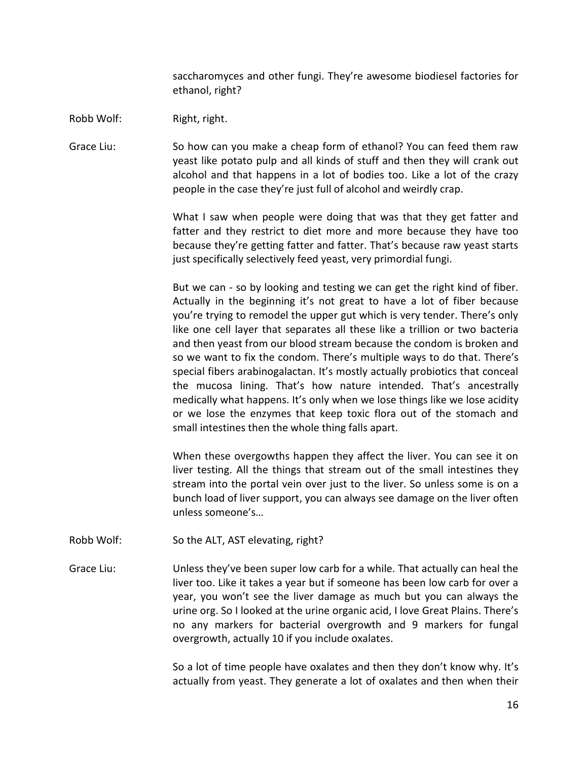saccharomyces and other fungi. They're awesome biodiesel factories for ethanol, right?

Robb Wolf: Right, right.

Grace Liu: So how can you make a cheap form of ethanol? You can feed them raw yeast like potato pulp and all kinds of stuff and then they will crank out alcohol and that happens in a lot of bodies too. Like a lot of the crazy people in the case they're just full of alcohol and weirdly crap.

> What I saw when people were doing that was that they get fatter and fatter and they restrict to diet more and more because they have too because they're getting fatter and fatter. That's because raw yeast starts just specifically selectively feed yeast, very primordial fungi.

> But we can - so by looking and testing we can get the right kind of fiber. Actually in the beginning it's not great to have a lot of fiber because you're trying to remodel the upper gut which is very tender. There's only like one cell layer that separates all these like a trillion or two bacteria and then yeast from our blood stream because the condom is broken and so we want to fix the condom. There's multiple ways to do that. There's special fibers arabinogalactan. It's mostly actually probiotics that conceal the mucosa lining. That's how nature intended. That's ancestrally medically what happens. It's only when we lose things like we lose acidity or we lose the enzymes that keep toxic flora out of the stomach and small intestines then the whole thing falls apart.

> When these overgowths happen they affect the liver. You can see it on liver testing. All the things that stream out of the small intestines they stream into the portal vein over just to the liver. So unless some is on a bunch load of liver support, you can always see damage on the liver often unless someone's…

- Robb Wolf: So the ALT, AST elevating, right?
- Grace Liu: Unless they've been super low carb for a while. That actually can heal the liver too. Like it takes a year but if someone has been low carb for over a year, you won't see the liver damage as much but you can always the urine org. So I looked at the urine organic acid, I love Great Plains. There's no any markers for bacterial overgrowth and 9 markers for fungal overgrowth, actually 10 if you include oxalates.

So a lot of time people have oxalates and then they don't know why. It's actually from yeast. They generate a lot of oxalates and then when their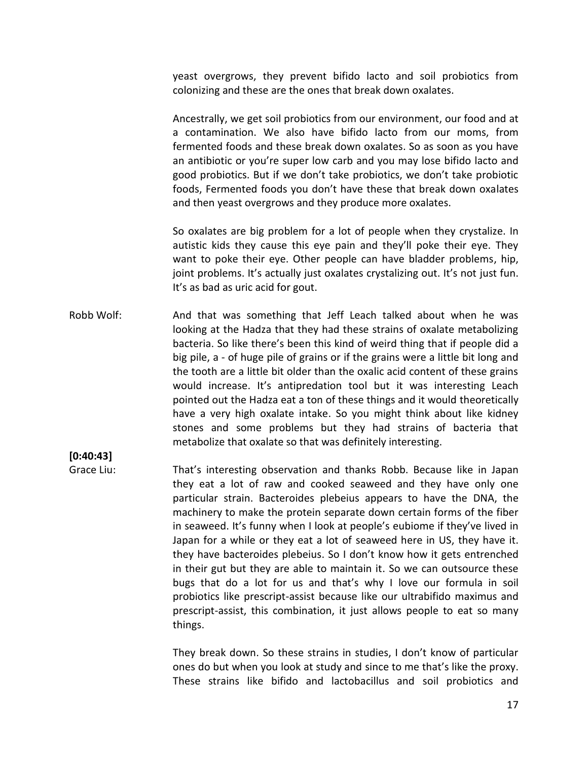yeast overgrows, they prevent bifido lacto and soil probiotics from colonizing and these are the ones that break down oxalates.

Ancestrally, we get soil probiotics from our environment, our food and at a contamination. We also have bifido lacto from our moms, from fermented foods and these break down oxalates. So as soon as you have an antibiotic or you're super low carb and you may lose bifido lacto and good probiotics. But if we don't take probiotics, we don't take probiotic foods, Fermented foods you don't have these that break down oxalates and then yeast overgrows and they produce more oxalates.

So oxalates are big problem for a lot of people when they crystalize. In autistic kids they cause this eye pain and they'll poke their eye. They want to poke their eye. Other people can have bladder problems, hip, joint problems. It's actually just oxalates crystalizing out. It's not just fun. It's as bad as uric acid for gout.

Robb Wolf: And that was something that Jeff Leach talked about when he was looking at the Hadza that they had these strains of oxalate metabolizing bacteria. So like there's been this kind of weird thing that if people did a big pile, a - of huge pile of grains or if the grains were a little bit long and the tooth are a little bit older than the oxalic acid content of these grains would increase. It's antipredation tool but it was interesting Leach pointed out the Hadza eat a ton of these things and it would theoretically have a very high oxalate intake. So you might think about like kidney stones and some problems but they had strains of bacteria that metabolize that oxalate so that was definitely interesting.

# **[0:40:43]**

Grace Liu: That's interesting observation and thanks Robb. Because like in Japan they eat a lot of raw and cooked seaweed and they have only one particular strain. Bacteroides plebeius appears to have the DNA, the machinery to make the protein separate down certain forms of the fiber in seaweed. It's funny when I look at people's eubiome if they've lived in Japan for a while or they eat a lot of seaweed here in US, they have it. they have bacteroides plebeius. So I don't know how it gets entrenched in their gut but they are able to maintain it. So we can outsource these bugs that do a lot for us and that's why I love our formula in soil probiotics like prescript-assist because like our ultrabifido maximus and prescript-assist, this combination, it just allows people to eat so many things.

> They break down. So these strains in studies, I don't know of particular ones do but when you look at study and since to me that's like the proxy. These strains like bifido and lactobacillus and soil probiotics and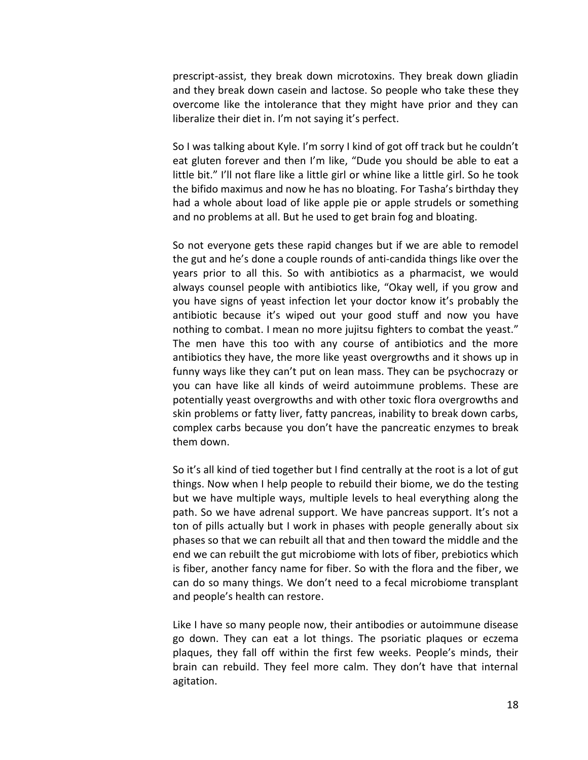prescript-assist, they break down microtoxins. They break down gliadin and they break down casein and lactose. So people who take these they overcome like the intolerance that they might have prior and they can liberalize their diet in. I'm not saying it's perfect.

So I was talking about Kyle. I'm sorry I kind of got off track but he couldn't eat gluten forever and then I'm like, "Dude you should be able to eat a little bit." I'll not flare like a little girl or whine like a little girl. So he took the bifido maximus and now he has no bloating. For Tasha's birthday they had a whole about load of like apple pie or apple strudels or something and no problems at all. But he used to get brain fog and bloating.

So not everyone gets these rapid changes but if we are able to remodel the gut and he's done a couple rounds of anti-candida things like over the years prior to all this. So with antibiotics as a pharmacist, we would always counsel people with antibiotics like, "Okay well, if you grow and you have signs of yeast infection let your doctor know it's probably the antibiotic because it's wiped out your good stuff and now you have nothing to combat. I mean no more jujitsu fighters to combat the yeast." The men have this too with any course of antibiotics and the more antibiotics they have, the more like yeast overgrowths and it shows up in funny ways like they can't put on lean mass. They can be psychocrazy or you can have like all kinds of weird autoimmune problems. These are potentially yeast overgrowths and with other toxic flora overgrowths and skin problems or fatty liver, fatty pancreas, inability to break down carbs, complex carbs because you don't have the pancreatic enzymes to break them down.

So it's all kind of tied together but I find centrally at the root is a lot of gut things. Now when I help people to rebuild their biome, we do the testing but we have multiple ways, multiple levels to heal everything along the path. So we have adrenal support. We have pancreas support. It's not a ton of pills actually but I work in phases with people generally about six phases so that we can rebuilt all that and then toward the middle and the end we can rebuilt the gut microbiome with lots of fiber, prebiotics which is fiber, another fancy name for fiber. So with the flora and the fiber, we can do so many things. We don't need to a fecal microbiome transplant and people's health can restore.

Like I have so many people now, their antibodies or autoimmune disease go down. They can eat a lot things. The psoriatic plaques or eczema plaques, they fall off within the first few weeks. People's minds, their brain can rebuild. They feel more calm. They don't have that internal agitation.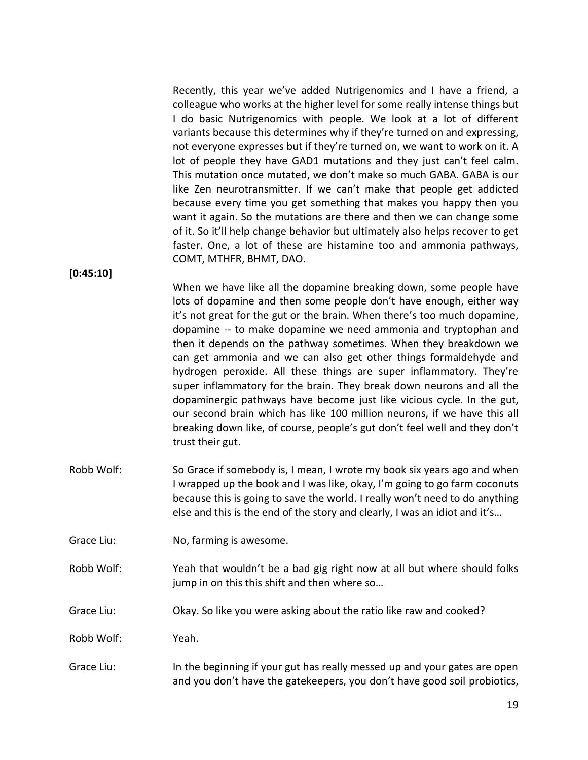Recently, this year we've added Nutrigenomics and I have a friend, a colleague who works at the higher level for some really intense things but I do basic Nutrigenomics with people. We look at a lot of different variants because this determines why if they're turned on and expressing, not everyone expresses but if they're turned on, we want to work on it. A lot of people they have GAD1 mutations and they just can't feel calm. This mutation once mutated, we don't make so much GABA. GABA is our like Zen neurotransmitter. If we can't make that people get addicted because every time you get something that makes you happy then you want it again. So the mutations are there and then we can change some of it. So it'll help change behavior but ultimately also helps recover to get faster. One, a lot of these are histamine too and ammonia pathways, COMT, MTHFR, BHMT, DAO.

**[0:45:10]**

When we have like all the dopamine breaking down, some people have lots of dopamine and then some people don't have enough, either way it's not great for the gut or the brain. When there's too much dopamine, dopamine -- to make dopamine we need ammonia and tryptophan and then it depends on the pathway sometimes. When they breakdown we can get ammonia and we can also get other things formaldehyde and hydrogen peroxide. All these things are super inflammatory. They're super inflammatory for the brain. They break down neurons and all the dopaminergic pathways have become just like vicious cycle. In the gut, our second brain which has like 100 million neurons, if we have this all breaking down like, of course, people's gut don't feel well and they don't trust their gut.

- Robb Wolf: So Grace if somebody is, I mean, I wrote my book six years ago and when I wrapped up the book and I was like, okay, I'm going to go farm coconuts because this is going to save the world. I really won't need to do anything else and this is the end of the story and clearly, I was an idiot and it's…
- Grace Liu: No, farming is awesome.
- Robb Wolf: Yeah that wouldn't be a bad gig right now at all but where should folks jump in on this this shift and then where so…
- Grace Liu: Okay. So like you were asking about the ratio like raw and cooked?

Robb Wolf: Yeah.

Grace Liu: In the beginning if your gut has really messed up and your gates are open and you don't have the gatekeepers, you don't have good soil probiotics,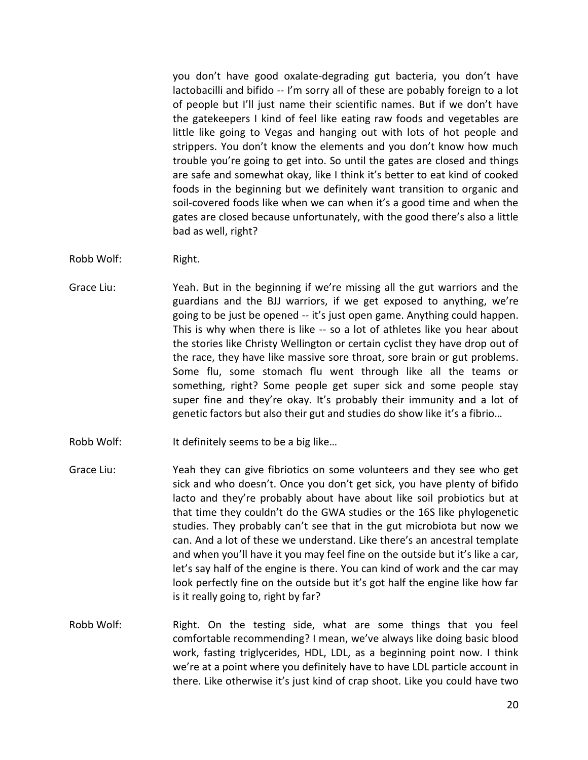you don't have good oxalate-degrading gut bacteria, you don't have lactobacilli and bifido -- I'm sorry all of these are pobably foreign to a lot of people but I'll just name their scientific names. But if we don't have the gatekeepers I kind of feel like eating raw foods and vegetables are little like going to Vegas and hanging out with lots of hot people and strippers. You don't know the elements and you don't know how much trouble you're going to get into. So until the gates are closed and things are safe and somewhat okay, like I think it's better to eat kind of cooked foods in the beginning but we definitely want transition to organic and soil-covered foods like when we can when it's a good time and when the gates are closed because unfortunately, with the good there's also a little bad as well, right?

- Robb Wolf: Right.
- Grace Liu: Yeah. But in the beginning if we're missing all the gut warriors and the guardians and the BJJ warriors, if we get exposed to anything, we're going to be just be opened -- it's just open game. Anything could happen. This is why when there is like -- so a lot of athletes like you hear about the stories like Christy Wellington or certain cyclist they have drop out of the race, they have like massive sore throat, sore brain or gut problems. Some flu, some stomach flu went through like all the teams or something, right? Some people get super sick and some people stay super fine and they're okay. It's probably their immunity and a lot of genetic factors but also their gut and studies do show like it's a fibrio…
- Robb Wolf: It definitely seems to be a big like...
- Grace Liu: Yeah they can give fibriotics on some volunteers and they see who get sick and who doesn't. Once you don't get sick, you have plenty of bifido lacto and they're probably about have about like soil probiotics but at that time they couldn't do the GWA studies or the 16S like phylogenetic studies. They probably can't see that in the gut microbiota but now we can. And a lot of these we understand. Like there's an ancestral template and when you'll have it you may feel fine on the outside but it's like a car, let's say half of the engine is there. You can kind of work and the car may look perfectly fine on the outside but it's got half the engine like how far is it really going to, right by far?
- Robb Wolf: Right. On the testing side, what are some things that you feel comfortable recommending? I mean, we've always like doing basic blood work, fasting triglycerides, HDL, LDL, as a beginning point now. I think we're at a point where you definitely have to have LDL particle account in there. Like otherwise it's just kind of crap shoot. Like you could have two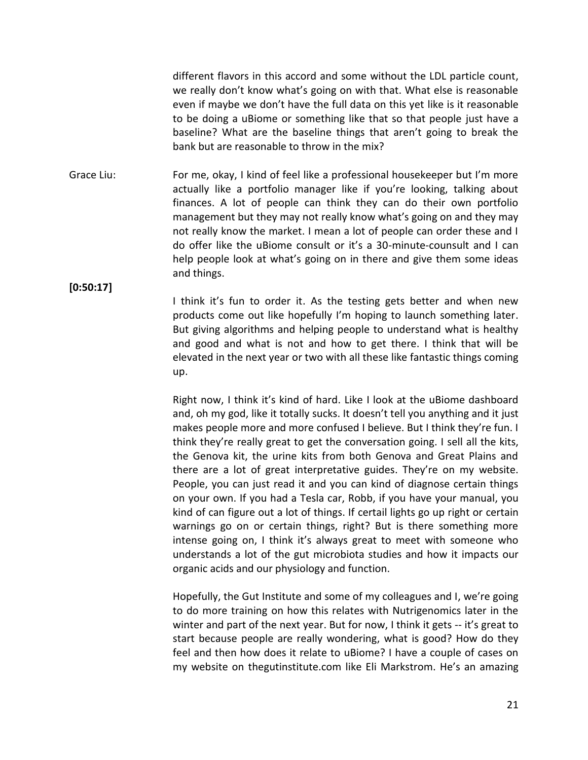different flavors in this accord and some without the LDL particle count, we really don't know what's going on with that. What else is reasonable even if maybe we don't have the full data on this yet like is it reasonable to be doing a uBiome or something like that so that people just have a baseline? What are the baseline things that aren't going to break the bank but are reasonable to throw in the mix?

Grace Liu: For me, okay, I kind of feel like a professional housekeeper but I'm more actually like a portfolio manager like if you're looking, talking about finances. A lot of people can think they can do their own portfolio management but they may not really know what's going on and they may not really know the market. I mean a lot of people can order these and I do offer like the uBiome consult or it's a 30-minute-counsult and I can help people look at what's going on in there and give them some ideas and things.

**[0:50:17]**

I think it's fun to order it. As the testing gets better and when new products come out like hopefully I'm hoping to launch something later. But giving algorithms and helping people to understand what is healthy and good and what is not and how to get there. I think that will be elevated in the next year or two with all these like fantastic things coming up.

Right now, I think it's kind of hard. Like I look at the uBiome dashboard and, oh my god, like it totally sucks. It doesn't tell you anything and it just makes people more and more confused I believe. But I think they're fun. I think they're really great to get the conversation going. I sell all the kits, the Genova kit, the urine kits from both Genova and Great Plains and there are a lot of great interpretative guides. They're on my website. People, you can just read it and you can kind of diagnose certain things on your own. If you had a Tesla car, Robb, if you have your manual, you kind of can figure out a lot of things. If certail lights go up right or certain warnings go on or certain things, right? But is there something more intense going on, I think it's always great to meet with someone who understands a lot of the gut microbiota studies and how it impacts our organic acids and our physiology and function.

Hopefully, the Gut Institute and some of my colleagues and I, we're going to do more training on how this relates with Nutrigenomics later in the winter and part of the next year. But for now, I think it gets -- it's great to start because people are really wondering, what is good? How do they feel and then how does it relate to uBiome? I have a couple of cases on my website on thegutinstitute.com like Eli Markstrom. He's an amazing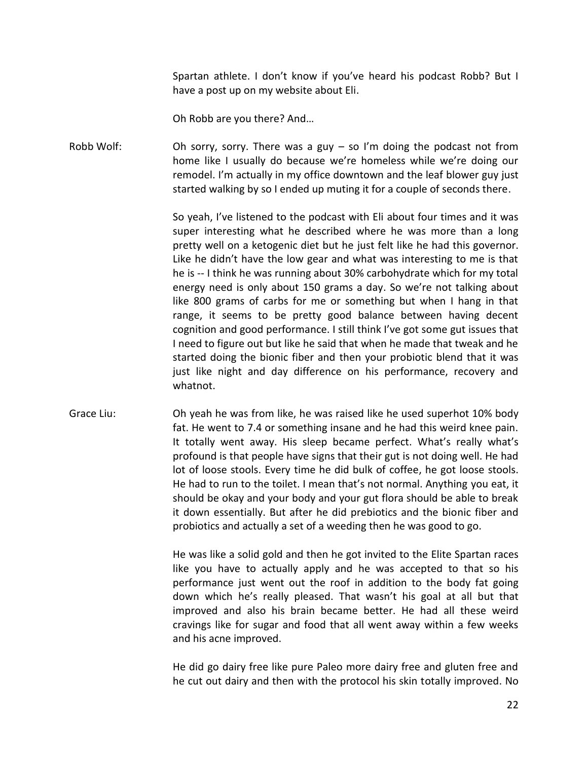Spartan athlete. I don't know if you've heard his podcast Robb? But I have a post up on my website about Eli.

Oh Robb are you there? And…

Robb Wolf: Oh sorry, sorry. There was a guy  $-$  so I'm doing the podcast not from home like I usually do because we're homeless while we're doing our remodel. I'm actually in my office downtown and the leaf blower guy just started walking by so I ended up muting it for a couple of seconds there.

> So yeah, I've listened to the podcast with Eli about four times and it was super interesting what he described where he was more than a long pretty well on a ketogenic diet but he just felt like he had this governor. Like he didn't have the low gear and what was interesting to me is that he is -- I think he was running about 30% carbohydrate which for my total energy need is only about 150 grams a day. So we're not talking about like 800 grams of carbs for me or something but when I hang in that range, it seems to be pretty good balance between having decent cognition and good performance. I still think I've got some gut issues that I need to figure out but like he said that when he made that tweak and he started doing the bionic fiber and then your probiotic blend that it was just like night and day difference on his performance, recovery and whatnot.

Grace Liu: Oh yeah he was from like, he was raised like he used superhot 10% body fat. He went to 7.4 or something insane and he had this weird knee pain. It totally went away. His sleep became perfect. What's really what's profound is that people have signs that their gut is not doing well. He had lot of loose stools. Every time he did bulk of coffee, he got loose stools. He had to run to the toilet. I mean that's not normal. Anything you eat, it should be okay and your body and your gut flora should be able to break it down essentially. But after he did prebiotics and the bionic fiber and probiotics and actually a set of a weeding then he was good to go.

> He was like a solid gold and then he got invited to the Elite Spartan races like you have to actually apply and he was accepted to that so his performance just went out the roof in addition to the body fat going down which he's really pleased. That wasn't his goal at all but that improved and also his brain became better. He had all these weird cravings like for sugar and food that all went away within a few weeks and his acne improved.

> He did go dairy free like pure Paleo more dairy free and gluten free and he cut out dairy and then with the protocol his skin totally improved. No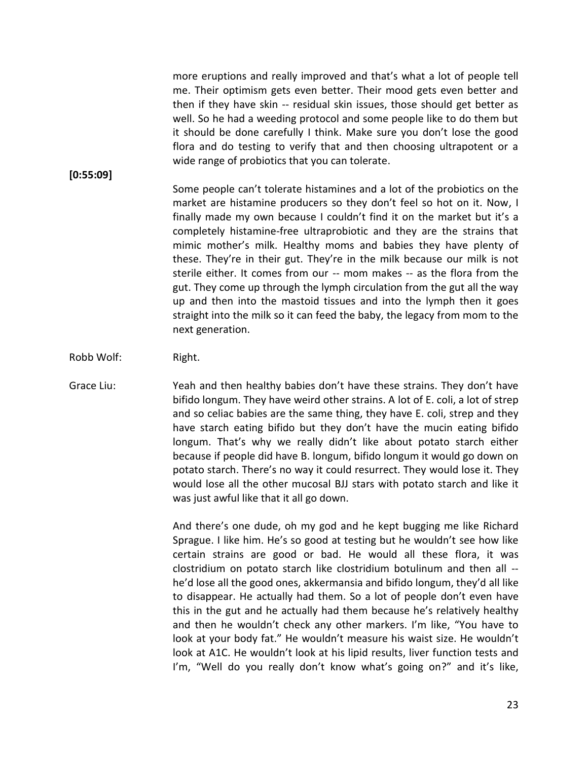more eruptions and really improved and that's what a lot of people tell me. Their optimism gets even better. Their mood gets even better and then if they have skin -- residual skin issues, those should get better as well. So he had a weeding protocol and some people like to do them but it should be done carefully I think. Make sure you don't lose the good flora and do testing to verify that and then choosing ultrapotent or a wide range of probiotics that you can tolerate.

**[0:55:09]**

Some people can't tolerate histamines and a lot of the probiotics on the market are histamine producers so they don't feel so hot on it. Now, I finally made my own because I couldn't find it on the market but it's a completely histamine-free ultraprobiotic and they are the strains that mimic mother's milk. Healthy moms and babies they have plenty of these. They're in their gut. They're in the milk because our milk is not sterile either. It comes from our -- mom makes -- as the flora from the gut. They come up through the lymph circulation from the gut all the way up and then into the mastoid tissues and into the lymph then it goes straight into the milk so it can feed the baby, the legacy from mom to the next generation.

- Robb Wolf: Right.
- Grace Liu: Yeah and then healthy babies don't have these strains. They don't have bifido longum. They have weird other strains. A lot of E. coli, a lot of strep and so celiac babies are the same thing, they have E. coli, strep and they have starch eating bifido but they don't have the mucin eating bifido longum. That's why we really didn't like about potato starch either because if people did have B. longum, bifido longum it would go down on potato starch. There's no way it could resurrect. They would lose it. They would lose all the other mucosal BJJ stars with potato starch and like it was just awful like that it all go down.

And there's one dude, oh my god and he kept bugging me like Richard Sprague. I like him. He's so good at testing but he wouldn't see how like certain strains are good or bad. He would all these flora, it was clostridium on potato starch like clostridium botulinum and then all - he'd lose all the good ones, akkermansia and bifido longum, they'd all like to disappear. He actually had them. So a lot of people don't even have this in the gut and he actually had them because he's relatively healthy and then he wouldn't check any other markers. I'm like, "You have to look at your body fat." He wouldn't measure his waist size. He wouldn't look at A1C. He wouldn't look at his lipid results, liver function tests and I'm, "Well do you really don't know what's going on?" and it's like,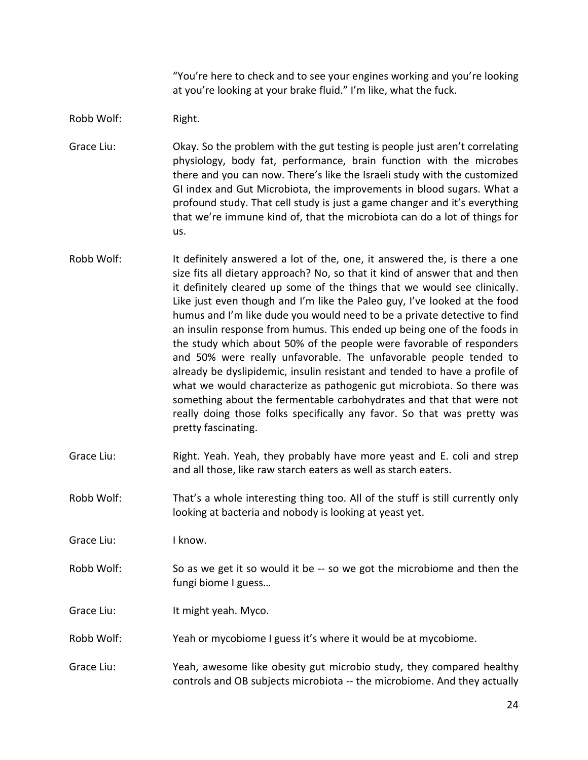"You're here to check and to see your engines working and you're looking at you're looking at your brake fluid." I'm like, what the fuck.

Robb Wolf: Right.

Grace Liu: Okay. So the problem with the gut testing is people just aren't correlating physiology, body fat, performance, brain function with the microbes there and you can now. There's like the Israeli study with the customized GI index and Gut Microbiota, the improvements in blood sugars. What a profound study. That cell study is just a game changer and it's everything that we're immune kind of, that the microbiota can do a lot of things for us.

- Robb Wolf: It definitely answered a lot of the, one, it answered the, is there a one size fits all dietary approach? No, so that it kind of answer that and then it definitely cleared up some of the things that we would see clinically. Like just even though and I'm like the Paleo guy, I've looked at the food humus and I'm like dude you would need to be a private detective to find an insulin response from humus. This ended up being one of the foods in the study which about 50% of the people were favorable of responders and 50% were really unfavorable. The unfavorable people tended to already be dyslipidemic, insulin resistant and tended to have a profile of what we would characterize as pathogenic gut microbiota. So there was something about the fermentable carbohydrates and that that were not really doing those folks specifically any favor. So that was pretty was pretty fascinating.
- Grace Liu: Right. Yeah. Yeah, they probably have more yeast and E. coli and strep and all those, like raw starch eaters as well as starch eaters.
- Robb Wolf: That's a whole interesting thing too. All of the stuff is still currently only looking at bacteria and nobody is looking at yeast yet.
- Grace Liu: Iknow.
- Robb Wolf: So as we get it so would it be -- so we got the microbiome and then the fungi biome I guess…

Grace Liu: It might yeah. Myco.

- Robb Wolf: Yeah or mycobiome I guess it's where it would be at mycobiome.
- Grace Liu: Yeah, awesome like obesity gut microbio study, they compared healthy controls and OB subjects microbiota -- the microbiome. And they actually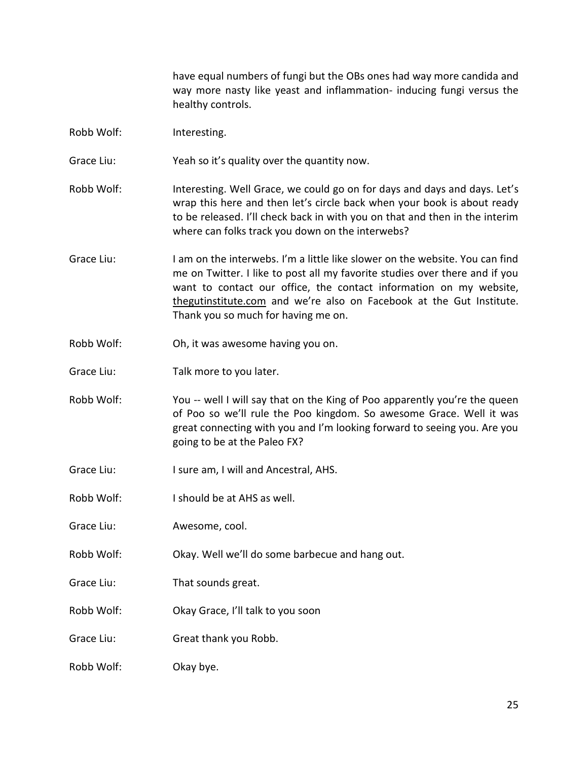have equal numbers of fungi but the OBs ones had way more candida and way more nasty like yeast and inflammation- inducing fungi versus the healthy controls.

- Robb Wolf: Interesting.
- Grace Liu: Yeah so it's quality over the quantity now.
- Robb Wolf: Interesting. Well Grace, we could go on for days and days and days. Let's wrap this here and then let's circle back when your book is about ready to be released. I'll check back in with you on that and then in the interim where can folks track you down on the interwebs?
- Grace Liu: I am on the interwebs. I'm a little like slower on the website. You can find me on Twitter. I like to post all my favorite studies over there and if you want to contact our office, the contact information on my website, thegutinstitute.com and we're also on Facebook at the Gut Institute. Thank you so much for having me on.
- Robb Wolf: Oh, it was awesome having you on.
- Grace Liu: Talk more to you later.
- Robb Wolf: You -- well I will say that on the King of Poo apparently you're the queen of Poo so we'll rule the Poo kingdom. So awesome Grace. Well it was great connecting with you and I'm looking forward to seeing you. Are you going to be at the Paleo FX?
- Grace Liu: I sure am, I will and Ancestral, AHS.
- Robb Wolf: I should be at AHS as well.
- Grace Liu: Awesome, cool.
- Robb Wolf: Okay. Well we'll do some barbecue and hang out.
- Grace Liu: That sounds great.
- Robb Wolf: Okay Grace, I'll talk to you soon
- Grace Liu: Great thank you Robb.
- Robb Wolf: Okay bye.